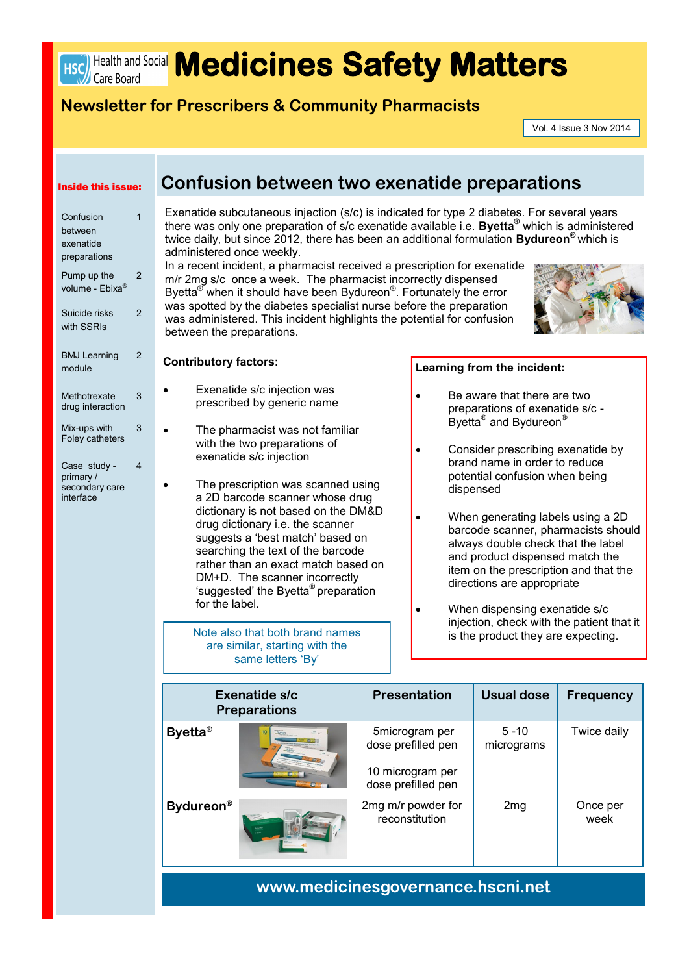# **HSC** Health and Social **Medicines Safety Matters**

### **Newsletter for Prescribers & Community Pharmacists**

Vol. 4 Issue 3 Nov 2014

#### Inside this issue:

| Confusion                   | 1              |
|-----------------------------|----------------|
| between                     |                |
| exenatide                   |                |
| preparations                |                |
| Pump up the                 | 2              |
| volume - Ebixa <sup>®</sup> |                |
| Suicide risks               | $\overline{2}$ |
| with SSRIs                  |                |
| <b>BMJ Learning</b>         | 2              |
| module                      |                |
|                             |                |
| Methotrexate                | 3              |
| drug interaction            |                |
| Mix-ups with                | 3              |
| <b>Foley catheters</b>      |                |
| Case study -                | 4              |
| primarv /                   |                |

secondary care interface

### **Confusion between two exenatide preparations**

Exenatide subcutaneous injection (s/c) is indicated for type 2 diabetes. For several years there was only one preparation of s/c exenatide available i.e. **Byetta®** which is administered twice daily, but since 2012, there has been an additional formulation **Bydureon®** which is administered once weekly.

In a recent incident, a pharmacist received a prescription for exenatide m/r 2mg s/c once a week. The pharmacist incorrectly dispensed Byetta<sup>®</sup> when it should have been Bydureon<sup>®</sup>. Fortunately the error was spotted by the diabetes specialist nurse before the preparation was administered. This incident highlights the potential for confusion between the preparations.



#### **Contributory factors:**

- Exenatide s/c injection was prescribed by generic name
- The pharmacist was not familiar with the two preparations of exenatide s/c injection
	- The prescription was scanned using a 2D barcode scanner whose drug dictionary is not based on the DM&D drug dictionary i.e. the scanner suggests a 'best match' based on searching the text of the barcode rather than an exact match based on DM+D. The scanner incorrectly 'suggested' the Byetta® preparation for the label.

Note also that both brand names are similar, starting with the same letters 'By'

#### **Learning from the incident:**

- Be aware that there are two preparations of exenatide s/c - Byetta<sup>®</sup> and Bydureon<sup>®</sup>
- Consider prescribing exenatide by brand name in order to reduce potential confusion when being dispensed
	- When generating labels using a 2D barcode scanner, pharmacists should always double check that the label and product dispensed match the item on the prescription and that the directions are appropriate
		- When dispensing exenatide s/c injection, check with the patient that it is the product they are expecting.

| <b>Exenatide s/c</b><br><b>Preparations</b> |             | <b>Presentation</b>                                                            | <b>Usual dose</b>      | <b>Frequency</b> |
|---------------------------------------------|-------------|--------------------------------------------------------------------------------|------------------------|------------------|
| <b>Byetta®</b>                              | <b>Dyen</b> | 5microgram per<br>dose prefilled pen<br>10 microgram per<br>dose prefilled pen | $5 - 10$<br>micrograms | Twice daily      |
| <b>Bydureon</b> <sup>®</sup>                |             | 2mg m/r powder for<br>reconstitution                                           | 2mg                    | Once per<br>week |

### **www.medicinesgovernance.hscni.net**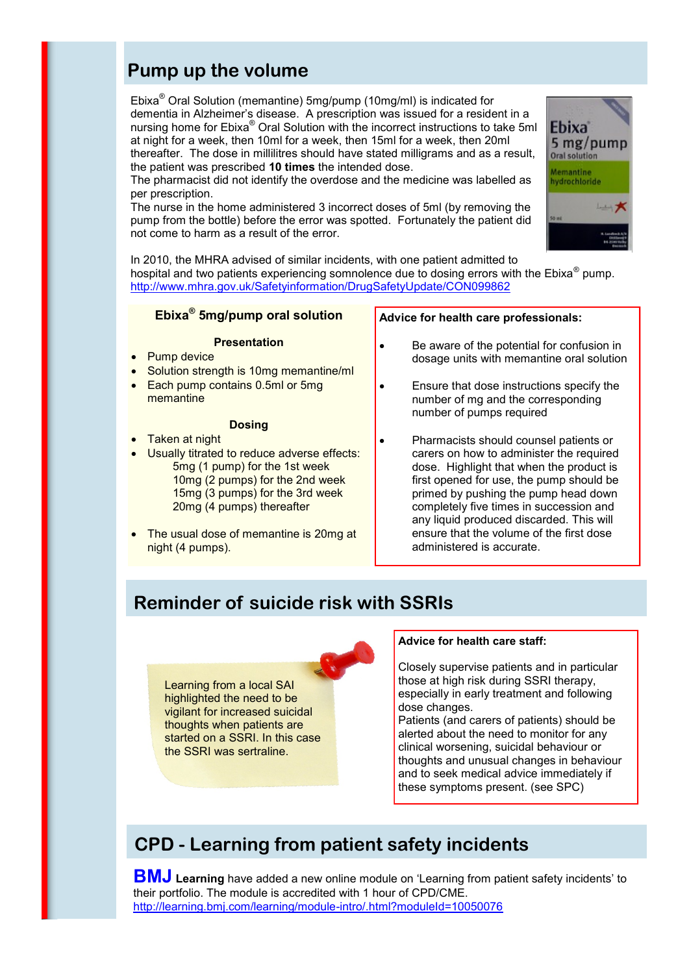# **Pump up the volume**

Ebixa® Oral Solution (memantine) 5mg/pump (10mg/ml) is indicated for dementia in Alzheimer's disease. A prescription was issued for a resident in a nursing home for Ebixa® Oral Solution with the incorrect instructions to take 5ml at night for a week, then 10ml for a week, then 15ml for a week, then 20ml thereafter. The dose in millilitres should have stated milligrams and as a result, the patient was prescribed **10 times** the intended dose.

The pharmacist did not identify the overdose and the medicine was labelled as per prescription.

The nurse in the home administered 3 incorrect doses of 5ml (by removing the pump from the bottle) before the error was spotted. Fortunately the patient did not come to harm as a result of the error.



In 2010, the MHRA advised of similar incidents, with one patient admitted to hospital and two patients experiencing somnolence due to dosing errors with the Ebixa® pump. <http://www.mhra.gov.uk/Safetyinformation/DrugSafetyUpdate/CON099862>

#### **Ebixa® 5mg/pump oral solution**

#### **Presentation**

- Pump device
- Solution strength is 10mg memantine/ml
- Each pump contains 0.5ml or 5mg memantine

### **Dosing**

- Taken at night
- Usually titrated to reduce adverse effects: 5mg (1 pump) for the 1st week 10mg (2 pumps) for the 2nd week 15mg (3 pumps) for the 3rd week 20mg (4 pumps) thereafter
- The usual dose of memantine is 20mg at night (4 pumps).

#### **Advice for health care professionals:**

- Be aware of the potential for confusion in dosage units with memantine oral solution
- Ensure that dose instructions specify the number of mg and the corresponding number of pumps required
- Pharmacists should counsel patients or carers on how to administer the required dose. Highlight that when the product is first opened for use, the pump should be primed by pushing the pump head down completely five times in succession and any liquid produced discarded. This will ensure that the volume of the first dose administered is accurate.

# **Reminder of suicide risk with SSRIs**

Learning from a local SAI highlighted the need to be vigilant for increased suicidal thoughts when patients are started on a SSRI. In this case the SSRI was sertraline.

#### **Advice for health care staff:**

Closely supervise patients and in particular those at high risk during SSRI therapy, especially in early treatment and following dose changes.

Patients (and carers of patients) should be alerted about the need to monitor for any clinical worsening, suicidal behaviour or thoughts and unusual changes in behaviour and to seek medical advice immediately if these symptoms present. (see SPC)

# **CPD - Learning from patient safety incidents**

**BMJ Learning** have added a new online module on 'Learning from patient safety incidents' to their portfolio. The module is accredited with 1 hour of CPD/CME. [http://learning.bmj.com/learning/module](http://learning.bmj.com/learning/module-intro/.html?moduleId=10050076)-intro/.html?moduleId=10050076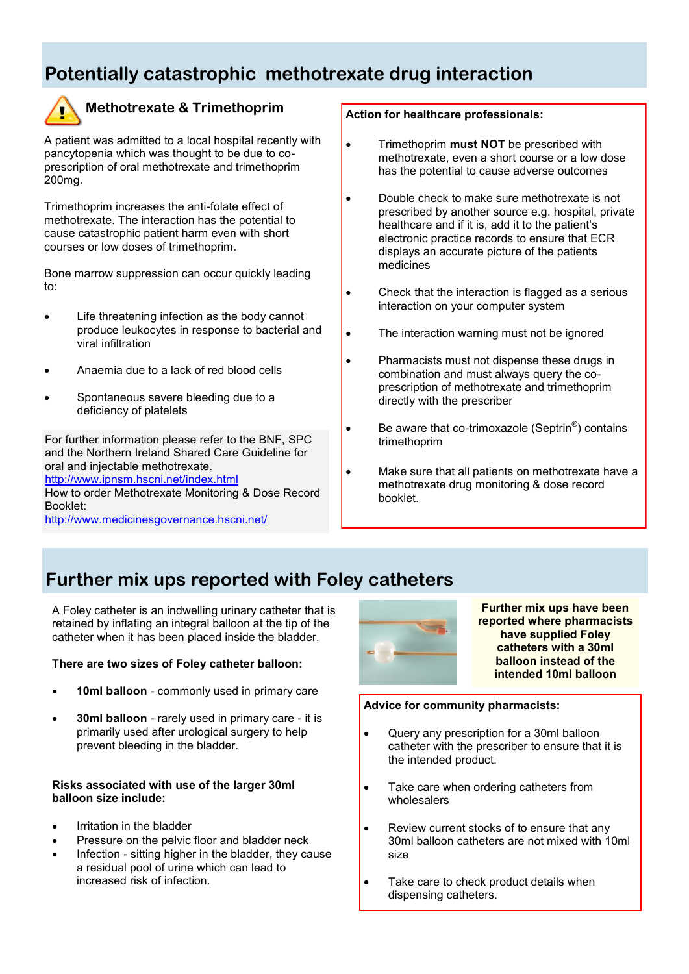# **Potentially catastrophic methotrexate drug interaction**



### **Methotrexate & Trimethoprim**

A patient was admitted to a local hospital recently with pancytopenia which was thought to be due to coprescription of oral methotrexate and trimethoprim 200mg.

Trimethoprim increases the anti-folate effect of methotrexate. The interaction has the potential to cause catastrophic patient harm even with short courses or low doses of trimethoprim.

Bone marrow suppression can occur quickly leading to:

- Life threatening infection as the body cannot produce leukocytes in response to bacterial and viral infiltration
- Anaemia due to a lack of red blood cells
- Spontaneous severe bleeding due to a deficiency of platelets

For further information please refer to the BNF, SPC and the Northern Ireland Shared Care Guideline for oral and injectable methotrexate.

[h](http://www.ipnsm.hscni.net/index.html)ttp://www.ipnsm.hscni.net/index.html

How to order Methotrexate Monitoring & Dose Record Booklet:

[h](http://www.medicinesgovernance.hscni.net/)ttp://www.medicinesgovernance.hscni.net/

#### **Action for healthcare professionals:**

- **•** Trimethoprim **must NOT** be prescribed with methotrexate, even a short course or a low dose has the potential to cause adverse outcomes
- Double check to make sure methotrexate is not prescribed by another source e.g. hospital, private healthcare and if it is, add it to the patient's electronic practice records to ensure that ECR displays an accurate picture of the patients medicines
- Check that the interaction is flagged as a serious interaction on your computer system
- The interaction warning must not be ignored
- Pharmacists must not dispense these drugs in combination and must always query the coprescription of methotrexate and trimethoprim directly with the prescriber
- $\bullet$  Be aware that co-trimoxazole (Septrin<sup>®</sup>) contains trimethoprim
- Make sure that all patients on methotrexate have a methotrexate drug monitoring & dose record booklet.

### **Further mix ups reported with Foley catheters**

A Foley catheter is an indwelling urinary catheter that is retained by inflating an integral balloon at the tip of the catheter when it has been placed inside the bladder.

#### **There are two sizes of Foley catheter balloon:**

- **10ml balloon**  commonly used in primary care
- **30ml balloon**  rarely used in primary care it is primarily used after urological surgery to help prevent bleeding in the bladder.

#### **Risks associated with use of the larger 30ml balloon size include:**

- Irritation in the bladder
- Pressure on the pelvic floor and bladder neck
- Infection sitting higher in the bladder, they cause a residual pool of urine which can lead to increased risk of infection.



**Further mix ups have been reported where pharmacists have supplied Foley catheters with a 30ml balloon instead of the intended 10ml balloon** 

#### **Advice for community pharmacists:**

- Query any prescription for a 30ml balloon catheter with the prescriber to ensure that it is the intended product.
- Take care when ordering catheters from wholesalers
- Review current stocks of to ensure that any 30ml balloon catheters are not mixed with 10ml size
- Take care to check product details when dispensing catheters.